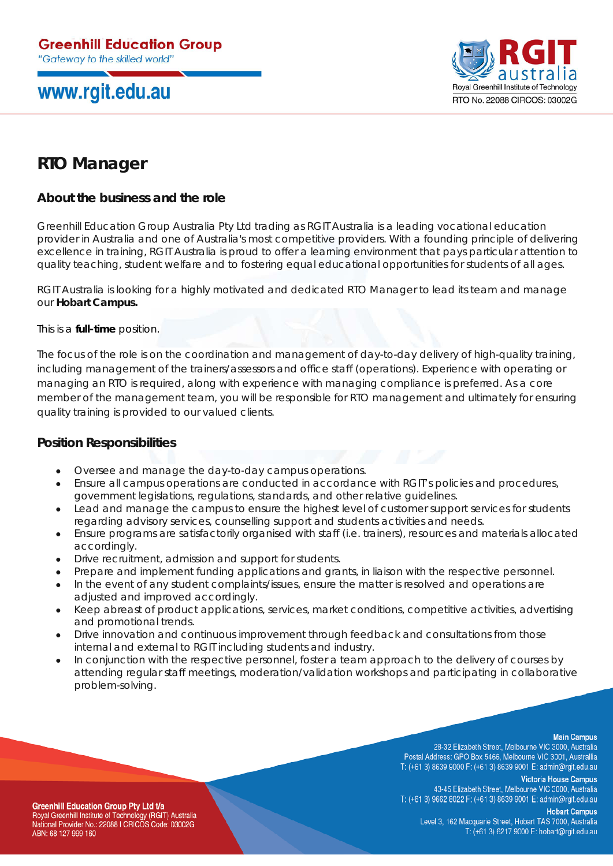## www.rgit.edu.au



### **RTO Manager**

#### **About the business and the role**

Greenhill Education Group Australia Pty Ltd trading as RGIT Australia is a leading vocational education provider in Australia and one of Australia's most competitive providers. With a founding principle of delivering excellence in training, RGIT Australia is proud to offer a learning environment that pays particular attention to quality teaching, student welfare and to fostering equal educational opportunities for students of all ages.

RGIT Australia is looking for a highly motivated and dedicated RTO Manager to lead its team and manage our **Hobart Campus.**

This is a **full-time** position.

The focus of the role is on the coordination and management of day-to-day delivery of high-quality training, including management of the trainers/assessors and office staff (operations). Experience with operating or managing an RTO is required, along with experience with managing compliance is preferred. As a core member of the management team, you will be responsible for RTO management and ultimately for ensuring quality training is provided to our valued clients.

#### **Position Responsibilities**

- Oversee and manage the day-to-day campus operations.
- Ensure all campus operations are conducted in accordance with RGIT's policies and procedures, government legislations, regulations, standards, and other relative guidelines.
- Lead and manage the campus to ensure the highest level of customer support services for students regarding advisory services, counselling support and students activities and needs.
- Ensure programs are satisfactorily organised with staff (i.e. trainers), resources and materials allocated accordingly.
- Drive recruitment, admission and support for students.
- Prepare and implement funding applications and grants, in liaison with the respective personnel.
- In the event of any student complaints/issues, ensure the matter is resolved and operations are adjusted and improved accordingly.
- Keep abreast of product applications, services, market conditions, competitive activities, advertising and promotional trends.
- Drive innovation and continuous improvement through feedback and consultations from those internal and external to RGIT including students and industry.
- In conjunction with the respective personnel, foster a team approach to the delivery of courses by attending regular staff meetings, moderation/validation workshops and participating in collaborative problem-solving.

**Main Campus** 

28-32 Elizabeth Street, Melbourne VIC 3000, Australia Postal Address: GPO Box 5466, Melbourne VIC 3001, Australlia T: (+61 3) 8639 9000 F: (+61 3) 8639 9001 E: admin@rgit.edu.au

**Victoria House Campus** 43-45 Elizabeth Street, Melbourne VIC 3000, Australia T: (+61 3) 9662 8022 F: (+61 3) 8639 9001 E: admin@rgit.edu.au

**Greenhill Education Group Pty Ltd t/a** Royal Greenhill Institute of Technology (RGIT) Australia National Provider No.: 22088 I CRICOS Code: 03002G ABN: 68 127 999 160

**Hobart Campus** Level 3, 162 Macquarie Street, Hobart TAS 7000, Australia T: (+61 3) 6217 9000 E: hobart@rgit.edu.au